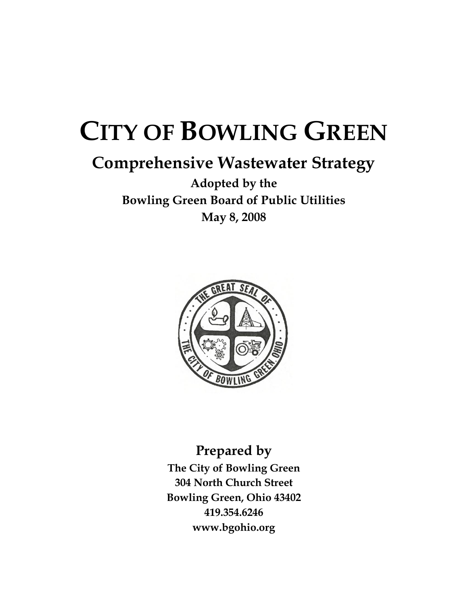# **CITY OF BOWLING GREEN**

# **Comprehensive Wastewater Strategy**

**Adopted by the Bowling Green Board of Public Utilities May 8, 2008**



**Prepared by The City of Bowling Green 304 North Church Street Bowling Green, Ohio 43402 419.354.6246 www.bgohio.org**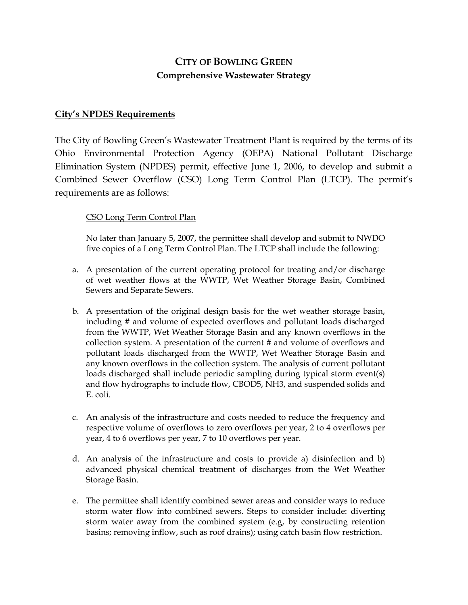# **CITY OF BOWLING GREEN Comprehensive Wastewater Strategy**

#### **City's NPDES Requirements**

The City of Bowling Green's Wastewater Treatment Plant is required by the terms of its Ohio Environmental Protection Agency (OEPA) National Pollutant Discharge Elimination System (NPDES) permit, effective June 1, 2006, to develop and submit a Combined Sewer Overflow (CSO) Long Term Control Plan (LTCP). The permit's requirements are as follows:

#### CSO Long Term Control Plan

No later than January 5, 2007, the permittee shall develop and submit to NWDO five copies of a Long Term Control Plan. The LTCP shall include the following:

- a. A presentation of the current operating protocol for treating and/or discharge of wet weather flows at the WWTP, Wet Weather Storage Basin, Combined Sewers and Separate Sewers.
- b. A presentation of the original design basis for the wet weather storage basin, including # and volume of expected overflows and pollutant loads discharged from the WWTP, Wet Weather Storage Basin and any known overflows in the collection system. A presentation of the current # and volume of overflows and pollutant loads discharged from the WWTP, Wet Weather Storage Basin and any known overflows in the collection system. The analysis of current pollutant loads discharged shall include periodic sampling during typical storm event(s) and flow hydrographs to include flow, CBOD5, NH3, and suspended solids and E. coli.
- c. An analysis of the infrastructure and costs needed to reduce the frequency and respective volume of overflows to zero overflows per year, 2 to 4 overflows per year, 4 to 6 overflows per year, 7 to 10 overflows per year.
- d. An analysis of the infrastructure and costs to provide a) disinfection and b) advanced physical chemical treatment of discharges from the Wet Weather Storage Basin.
- e. The permittee shall identify combined sewer areas and consider ways to reduce storm water flow into combined sewers. Steps to consider include: diverting storm water away from the combined system (e.g, by constructing retention basins; removing inflow, such as roof drains); using catch basin flow restriction.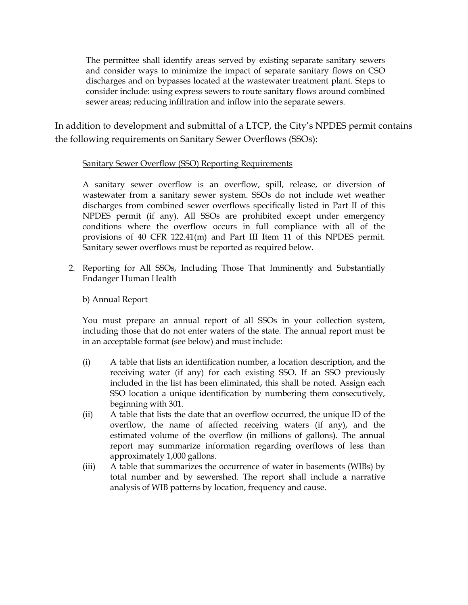The permittee shall identify areas served by existing separate sanitary sewers and consider ways to minimize the impact of separate sanitary flows on CSO discharges and on bypasses located at the wastewater treatment plant. Steps to consider include: using express sewers to route sanitary flows around combined sewer areas; reducing infiltration and inflow into the separate sewers.

In addition to development and submittal of a LTCP, the City's NPDES permit contains the following requirements on Sanitary Sewer Overflows (SSOs):

#### Sanitary Sewer Overflow (SSO) Reporting Requirements

A sanitary sewer overflow is an overflow, spill, release, or diversion of wastewater from a sanitary sewer system. SSOs do not include wet weather discharges from combined sewer overflows specifically listed in Part II of this NPDES permit (if any). All SSOs are prohibited except under emergency conditions where the overflow occurs in full compliance with all of the provisions of 40 CFR 122.41(m) and Part III Item 11 of this NPDES permit. Sanitary sewer overflows must be reported as required below.

2. Reporting for All SSOs, Including Those That Imminently and Substantially Endanger Human Health

b) Annual Report

You must prepare an annual report of all SSOs in your collection system, including those that do not enter waters of the state. The annual report must be in an acceptable format (see below) and must include:

- (i) A table that lists an identification number, a location description, and the receiving water (if any) for each existing SSO. If an SSO previously included in the list has been eliminated, this shall be noted. Assign each SSO location a unique identification by numbering them consecutively, beginning with 301.
- (ii) A table that lists the date that an overflow occurred, the unique ID of the overflow, the name of affected receiving waters (if any), and the estimated volume of the overflow (in millions of gallons). The annual report may summarize information regarding overflows of less than approximately 1,000 gallons.
- (iii) A table that summarizes the occurrence of water in basements (WIBs) by total number and by sewershed. The report shall include a narrative analysis of WIB patterns by location, frequency and cause.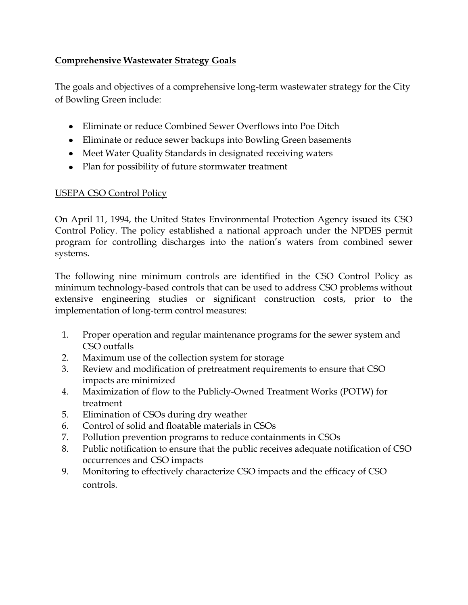# **Comprehensive Wastewater Strategy Goals**

The goals and objectives of a comprehensive long-term wastewater strategy for the City of Bowling Green include:

- Eliminate or reduce Combined Sewer Overflows into Poe Ditch
- Eliminate or reduce sewer backups into Bowling Green basements
- Meet Water Quality Standards in designated receiving waters
- Plan for possibility of future stormwater treatment

# USEPA CSO Control Policy

On April 11, 1994, the United States Environmental Protection Agency issued its CSO Control Policy. The policy established a national approach under the NPDES permit program for controlling discharges into the nation's waters from combined sewer systems.

The following nine minimum controls are identified in the CSO Control Policy as minimum technology-based controls that can be used to address CSO problems without extensive engineering studies or significant construction costs, prior to the implementation of long-term control measures:

- 1. Proper operation and regular maintenance programs for the sewer system and CSO outfalls
- 2. Maximum use of the collection system for storage
- 3. Review and modification of pretreatment requirements to ensure that CSO impacts are minimized
- 4. Maximization of flow to the Publicly-Owned Treatment Works (POTW) for treatment
- 5. Elimination of CSOs during dry weather
- 6. Control of solid and floatable materials in CSOs
- 7. Pollution prevention programs to reduce containments in CSOs
- 8. Public notification to ensure that the public receives adequate notification of CSO occurrences and CSO impacts
- 9. Monitoring to effectively characterize CSO impacts and the efficacy of CSO controls.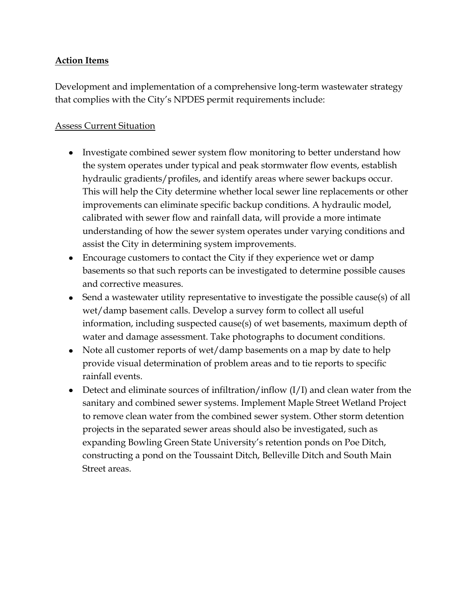#### **Action Items**

Development and implementation of a comprehensive long-term wastewater strategy that complies with the City's NPDES permit requirements include:

### Assess Current Situation

- Investigate combined sewer system flow monitoring to better understand how the system operates under typical and peak stormwater flow events, establish hydraulic gradients/profiles, and identify areas where sewer backups occur. This will help the City determine whether local sewer line replacements or other improvements can eliminate specific backup conditions. A hydraulic model, calibrated with sewer flow and rainfall data, will provide a more intimate understanding of how the sewer system operates under varying conditions and assist the City in determining system improvements.
- Encourage customers to contact the City if they experience wet or damp basements so that such reports can be investigated to determine possible causes and corrective measures.
- Send a wastewater utility representative to investigate the possible cause(s) of all wet/damp basement calls. Develop a survey form to collect all useful information, including suspected cause(s) of wet basements, maximum depth of water and damage assessment. Take photographs to document conditions.
- Note all customer reports of wet/damp basements on a map by date to help provide visual determination of problem areas and to tie reports to specific rainfall events.
- Detect and eliminate sources of infiltration/inflow (I/I) and clean water from the sanitary and combined sewer systems. Implement Maple Street Wetland Project to remove clean water from the combined sewer system. Other storm detention projects in the separated sewer areas should also be investigated, such as expanding Bowling Green State University's retention ponds on Poe Ditch, constructing a pond on the Toussaint Ditch, Belleville Ditch and South Main Street areas.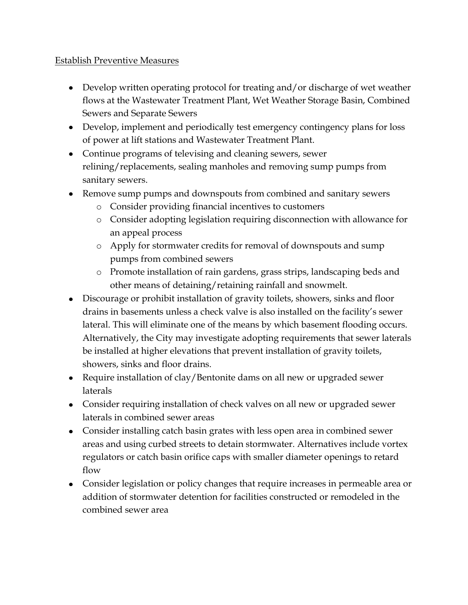#### Establish Preventive Measures

- Develop written operating protocol for treating and/or discharge of wet weather flows at the Wastewater Treatment Plant, Wet Weather Storage Basin, Combined Sewers and Separate Sewers
- Develop, implement and periodically test emergency contingency plans for loss of power at lift stations and Wastewater Treatment Plant.
- Continue programs of televising and cleaning sewers, sewer relining/replacements, sealing manholes and removing sump pumps from sanitary sewers.
- Remove sump pumps and downspouts from combined and sanitary sewers
	- o Consider providing financial incentives to customers
	- o Consider adopting legislation requiring disconnection with allowance for an appeal process
	- o Apply for stormwater credits for removal of downspouts and sump pumps from combined sewers
	- o Promote installation of rain gardens, grass strips, landscaping beds and other means of detaining/retaining rainfall and snowmelt.
- Discourage or prohibit installation of gravity toilets, showers, sinks and floor drains in basements unless a check valve is also installed on the facility's sewer lateral. This will eliminate one of the means by which basement flooding occurs. Alternatively, the City may investigate adopting requirements that sewer laterals be installed at higher elevations that prevent installation of gravity toilets, showers, sinks and floor drains.
- Require installation of clay/Bentonite dams on all new or upgraded sewer laterals
- Consider requiring installation of check valves on all new or upgraded sewer laterals in combined sewer areas
- Consider installing catch basin grates with less open area in combined sewer areas and using curbed streets to detain stormwater. Alternatives include vortex regulators or catch basin orifice caps with smaller diameter openings to retard flow
- Consider legislation or policy changes that require increases in permeable area or addition of stormwater detention for facilities constructed or remodeled in the combined sewer area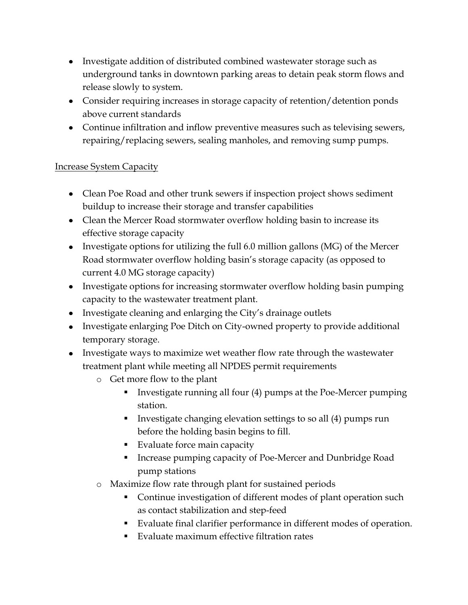- Investigate addition of distributed combined wastewater storage such as underground tanks in downtown parking areas to detain peak storm flows and release slowly to system.
- Consider requiring increases in storage capacity of retention/detention ponds above current standards
- Continue infiltration and inflow preventive measures such as televising sewers, repairing/replacing sewers, sealing manholes, and removing sump pumps.

### Increase System Capacity

- Clean Poe Road and other trunk sewers if inspection project shows sediment buildup to increase their storage and transfer capabilities
- Clean the Mercer Road stormwater overflow holding basin to increase its effective storage capacity
- Investigate options for utilizing the full 6.0 million gallons (MG) of the Mercer Road stormwater overflow holding basin's storage capacity (as opposed to current 4.0 MG storage capacity)
- Investigate options for increasing stormwater overflow holding basin pumping capacity to the wastewater treatment plant.
- Investigate cleaning and enlarging the City's drainage outlets
- Investigate enlarging Poe Ditch on City-owned property to provide additional temporary storage.
- Investigate ways to maximize wet weather flow rate through the wastewater treatment plant while meeting all NPDES permit requirements
	- o Get more flow to the plant
		- Investigate running all four  $(4)$  pumps at the Poe-Mercer pumping station.
		- Investigate changing elevation settings to so all (4) pumps run before the holding basin begins to fill.
		- **Evaluate force main capacity**
		- Increase pumping capacity of Poe-Mercer and Dunbridge Road pump stations
	- o Maximize flow rate through plant for sustained periods
		- Continue investigation of different modes of plant operation such as contact stabilization and step-feed
		- Evaluate final clarifier performance in different modes of operation.
		- Evaluate maximum effective filtration rates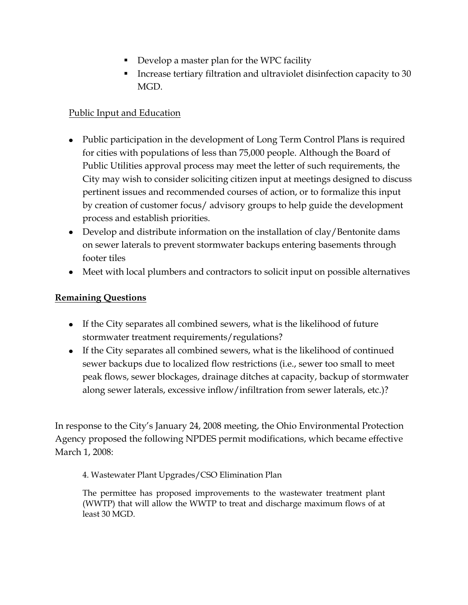- Develop a master plan for the WPC facility
- Increase tertiary filtration and ultraviolet disinfection capacity to 30 MGD.

## Public Input and Education

- Public participation in the development of Long Term Control Plans is required for cities with populations of less than 75,000 people. Although the Board of Public Utilities approval process may meet the letter of such requirements, the City may wish to consider soliciting citizen input at meetings designed to discuss pertinent issues and recommended courses of action, or to formalize this input by creation of customer focus/ advisory groups to help guide the development process and establish priorities.
- Develop and distribute information on the installation of clay/Bentonite dams on sewer laterals to prevent stormwater backups entering basements through footer tiles
- Meet with local plumbers and contractors to solicit input on possible alternatives

#### **Remaining Questions**

- If the City separates all combined sewers, what is the likelihood of future stormwater treatment requirements/regulations?
- If the City separates all combined sewers, what is the likelihood of continued sewer backups due to localized flow restrictions (i.e., sewer too small to meet peak flows, sewer blockages, drainage ditches at capacity, backup of stormwater along sewer laterals, excessive inflow/infiltration from sewer laterals, etc.)?

In response to the City's January 24, 2008 meeting, the Ohio Environmental Protection Agency proposed the following NPDES permit modifications, which became effective March 1, 2008:

4. Wastewater Plant Upgrades/CSO Elimination Plan

The permittee has proposed improvements to the wastewater treatment plant (WWTP) that will allow the WWTP to treat and discharge maximum flows of at least 30 MGD.